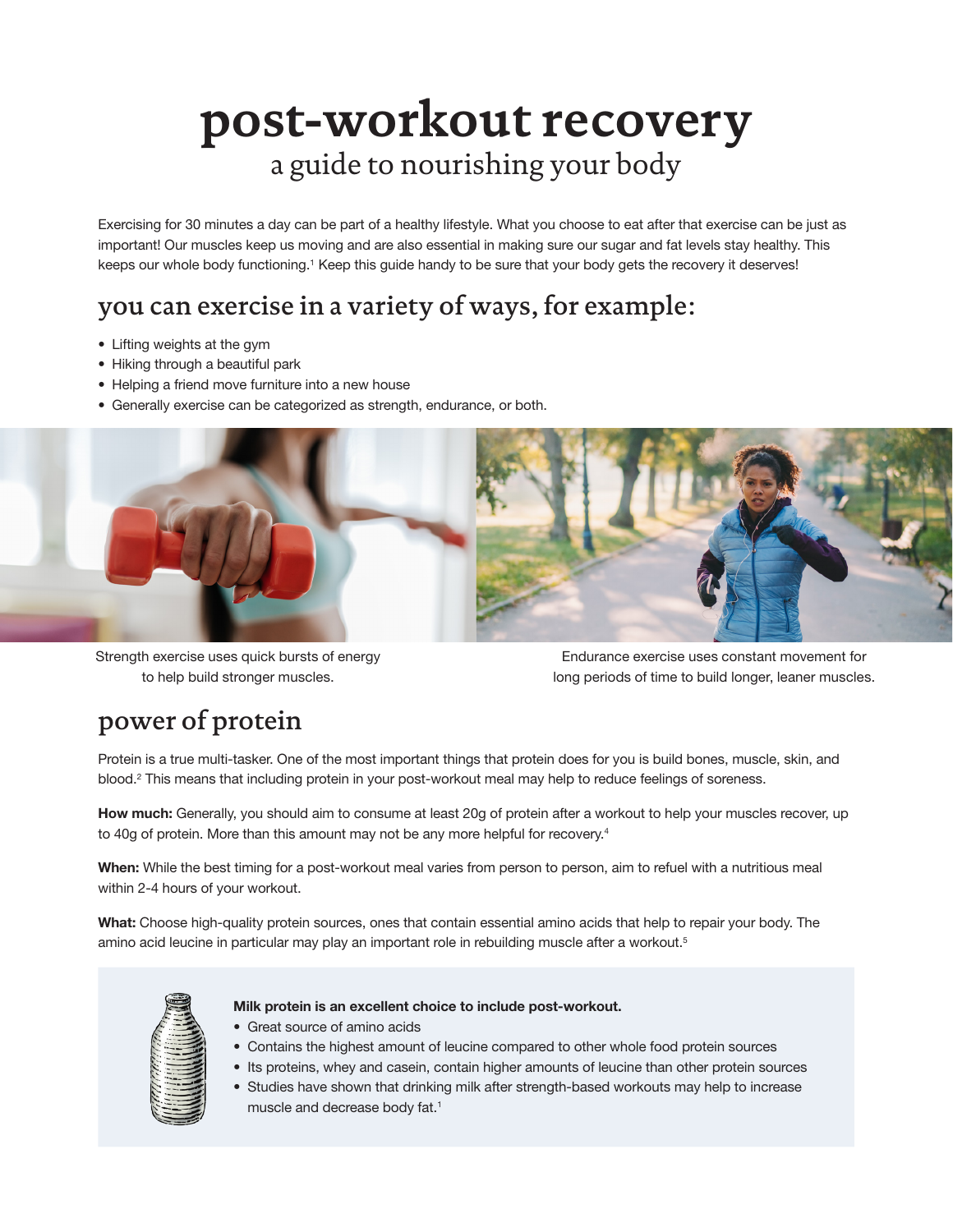# **post-workout recovery** a guide to nourishing your body

Exercising for 30 minutes a day can be part of a healthy lifestyle. What you choose to eat after that exercise can be just as important! Our muscles keep us moving and are also essential in making sure our sugar and fat levels stay healthy. This keeps our whole body functioning.<sup>1</sup> Keep this guide handy to be sure that your body gets the recovery it deserves!

## you can exercise in a variety of ways, for example:

- Lifting weights at the gym
- Hiking through a beautiful park
- Helping a friend move furniture into a new house
- Generally exercise can be categorized as strength, endurance, or both.



Strength exercise uses quick bursts of energy to help build stronger muscles.

Endurance exercise uses constant movement for long periods of time to build longer, leaner muscles.

### power of protein

Protein is a true multi-tasker. One of the most important things that protein does for you is build bones, muscle, skin, and blood.<sup>2</sup> This means that including protein in your post-workout meal may help to reduce feelings of soreness.

How much: Generally, you should aim to consume at least 20g of protein after a workout to help your muscles recover, up to 40g of protein. More than this amount may not be any more helpful for recovery.<sup>4</sup>

When: While the best timing for a post-workout meal varies from person to person, aim to refuel with a nutritious meal within 2-4 hours of your workout.

What: Choose high-quality protein sources, ones that contain essential amino acids that help to repair your body. The amino acid leucine in particular may play an important role in rebuilding muscle after a workout.<sup>5</sup>



#### Milk protein is an excellent choice to include post-workout.

- Great source of amino acids
- Contains the highest amount of leucine compared to other whole food protein sources
- Its proteins, whey and casein, contain higher amounts of leucine than other protein sources
- Studies have shown that drinking milk after strength-based workouts may help to increase muscle and decrease body fat.<sup>1</sup>